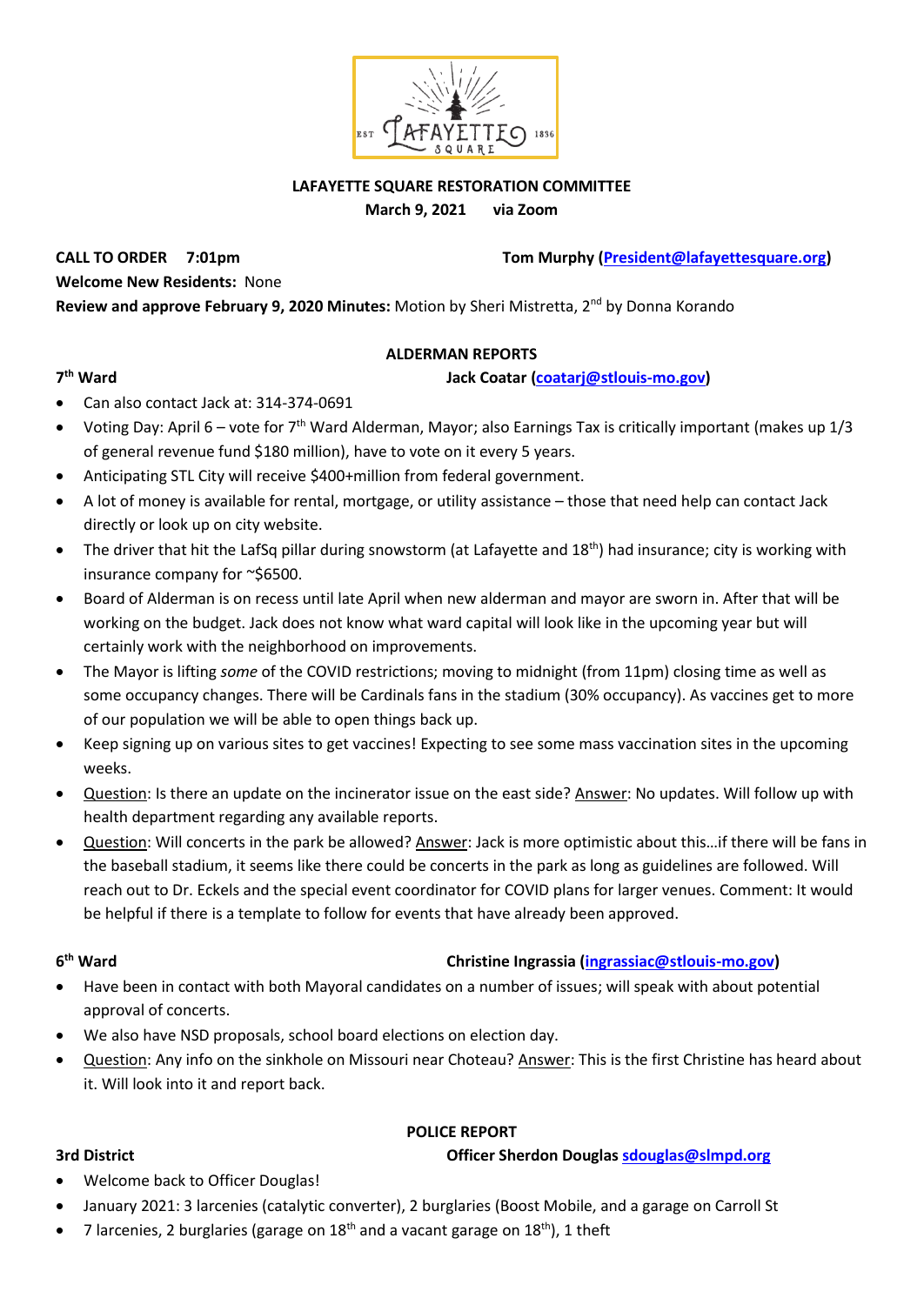

### **LAFAYETTE SQUARE RESTORATION COMMITTEE**

**March 9, 2021 via Zoom**

**CALL TO ORDER 7:01pm Tom Murphy [\(President@lafayettesquare.org\)](mailto:President@lafayettesquare.org)** 

**Welcome New Residents:** None

Review and approve February 9, 2020 Minutes: Motion by Sheri Mistretta, 2<sup>nd</sup> by Donna Korando

### **ALDERMAN REPORTS**

### **th Ward Jack Coatar [\(coatarj@stlouis-mo.gov\)](mailto:coatarj@stlouis-mo.gov)**

### 7<sup>th</sup> Ward

- Can also contact Jack at: 314-374-0691
- Voting Day: April 6 vote for  $7<sup>th</sup>$  Ward Alderman, Mayor; also Earnings Tax is critically important (makes up  $1/3$ of general revenue fund \$180 million), have to vote on it every 5 years.
- Anticipating STL City will receive \$400+million from federal government.
- A lot of money is available for rental, mortgage, or utility assistance those that need help can contact Jack directly or look up on city website.
- The driver that hit the LafSq pillar during snowstorm (at Lafayette and 18<sup>th</sup>) had insurance; city is working with insurance company for ~\$6500.
- Board of Alderman is on recess until late April when new alderman and mayor are sworn in. After that will be working on the budget. Jack does not know what ward capital will look like in the upcoming year but will certainly work with the neighborhood on improvements.
- The Mayor is lifting *some* of the COVID restrictions; moving to midnight (from 11pm) closing time as well as some occupancy changes. There will be Cardinals fans in the stadium (30% occupancy). As vaccines get to more of our population we will be able to open things back up.
- Keep signing up on various sites to get vaccines! Expecting to see some mass vaccination sites in the upcoming weeks.
- Question: Is there an update on the incinerator issue on the east side? Answer: No updates. Will follow up with health department regarding any available reports.
- Question: Will concerts in the park be allowed? Answer: Jack is more optimistic about this…if there will be fans in the baseball stadium, it seems like there could be concerts in the park as long as guidelines are followed. Will reach out to Dr. Eckels and the special event coordinator for COVID plans for larger venues. Comment: It would be helpful if there is a template to follow for events that have already been approved.

### **6**

### **christine Ingrassia [\(ingrassiac@stlouis-mo.gov\)](mailto:ingrassiac@stlouis-mo.gov)**

- Have been in contact with both Mayoral candidates on a number of issues; will speak with about potential approval of concerts.
- We also have NSD proposals, school board elections on election day.
- Question: Any info on the sinkhole on Missouri near Choteau? Answer: This is the first Christine has heard about it. Will look into it and report back.

### **POLICE REPORT**

**3rd District Officer Sherdon Douglas [sdouglas@slmpd.org](mailto:sdouglas@slmpd.org)**

- Welcome back to Officer Douglas!
- January 2021: 3 larcenies (catalytic converter), 2 burglaries (Boost Mobile, and a garage on Carroll St
- 7 larcenies, 2 burglaries (garage on  $18<sup>th</sup>$  and a vacant garage on  $18<sup>th</sup>$ ), 1 theft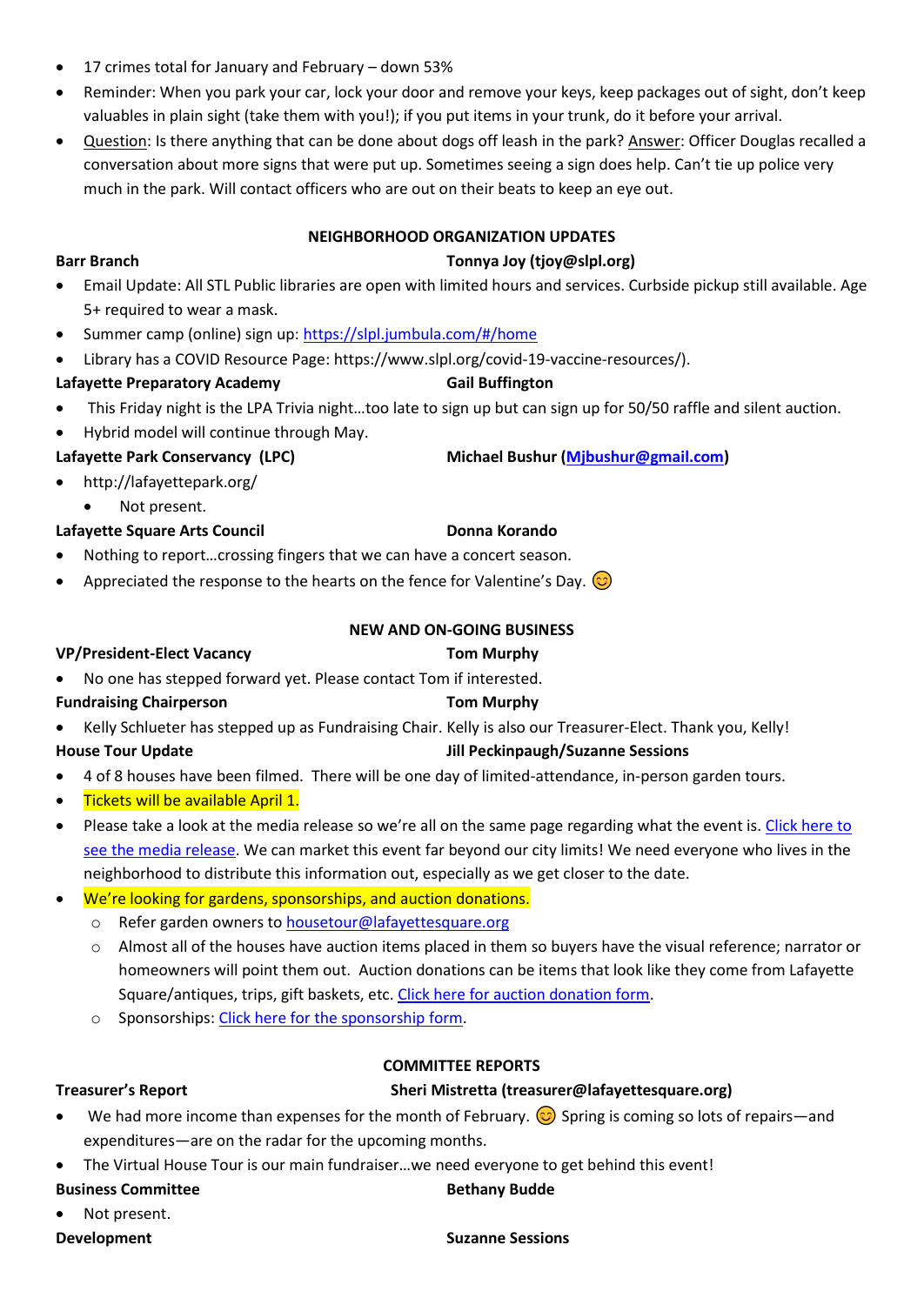- 17 crimes total for January and February down 53%
- Reminder: When you park your car, lock your door and remove your keys, keep packages out of sight, don't keep valuables in plain sight (take them with you!); if you put items in your trunk, do it before your arrival.
- Question: Is there anything that can be done about dogs off leash in the park? Answer: Officer Douglas recalled a conversation about more signs that were put up. Sometimes seeing a sign does help. Can't tie up police very much in the park. Will contact officers who are out on their beats to keep an eye out.

### **NEIGHBORHOOD ORGANIZATION UPDATES**

### **Barr Branch Tonnya Joy (tjoy@slpl.org)**

- Email Update: All STL Public libraries are open with limited hours and services. Curbside pickup still available. Age 5+ required to wear a mask.
- Summer camp (online) sign up: <https://slpl.jumbula.com/#/home>
- Library has a COVID Resource Page: https://www.slpl.org/covid-19-vaccine-resources/).

# Lafayette Preparatory Academy **Gail Buffington**

- This Friday night is the LPA Trivia night…too late to sign up but can sign up for 50/50 raffle and silent auction. • Hybrid model will continue through May.
- **Lafayette Park Conservancy (LPC) Michael Bushur [\(Mjbushur@gmail.com\)](mailto:Mjbushur@gmail.com)**
- http://lafayettepark.org/
	- Not present.

# Lafayette Square Arts Council **Donna Korando**

- Nothing to report…crossing fingers that we can have a concert season.
- Appreciated the response to the hearts on the fence for Valentine's Day.  $\circledcirc$

# **NEW AND ON-GOING BUSINESS**

### **VP/President-Elect Vacancy Tom Murphy**

- No one has stepped forward yet. Please contact Tom if interested.
- **Fundraising Chairperson Tom Murphy**
- Kelly Schlueter has stepped up as Fundraising Chair. Kelly is also our Treasurer-Elect. Thank you, Kelly! **House Tour Update Jill Peckinpaugh/Suzanne Sessions**
- 4 of 8 houses have been filmed. There will be one day of limited-attendance, in-person garden tours.
- **Tickets will be available April 1.**
- Please take a look at the media release so we're all on the same page regarding what the event is[. Click here to](https://drive.google.com/file/d/1Lna5CLkHgMiSwAXcChCPzLmxMn2-C0wO/view?usp=sharing)  [see the media release.](https://drive.google.com/file/d/1Lna5CLkHgMiSwAXcChCPzLmxMn2-C0wO/view?usp=sharing) We can market this event far beyond our city limits! We need everyone who lives in the neighborhood to distribute this information out, especially as we get closer to the date.
- We're looking for gardens, sponsorships, and auction donations.
	- o Refer garden owners t[o housetour@lafayettesquare.org](mailto:housetour@lafayettesquare.org)
	- o Almost all of the houses have auction items placed in them so buyers have the visual reference; narrator or homeowners will point them out. Auction donations can be items that look like they come from Lafayette Square/antiques, trips, gift baskets, etc. [Click here for auction donation form.](https://drive.google.com/file/d/10PhHGUUi7RUdwCnUDj-cDoUbAuSn2G1T/view?usp=sharing)
	- o Sponsorships: [Click here for the sponsorship form.](https://drive.google.com/file/d/1UMPzlHOwKMriHxWJ6I4iP6qx3g4YyGHG/view?usp=sharing)

### **COMMITTEE REPORTS**

# **Treasurer's Report Sheri Mistretta (treasurer@lafayettesquare.org)**

- We had more income than expenses for the month of February.  $\odot$  Spring is coming so lots of repairs—and expenditures—are on the radar for the upcoming months.
- The Virtual House Tour is our main fundraiser...we need everyone to get behind this event!

### **Business Committee Business Committee Bethany Budde**

Not present.

**Development** Suzanne Sessions